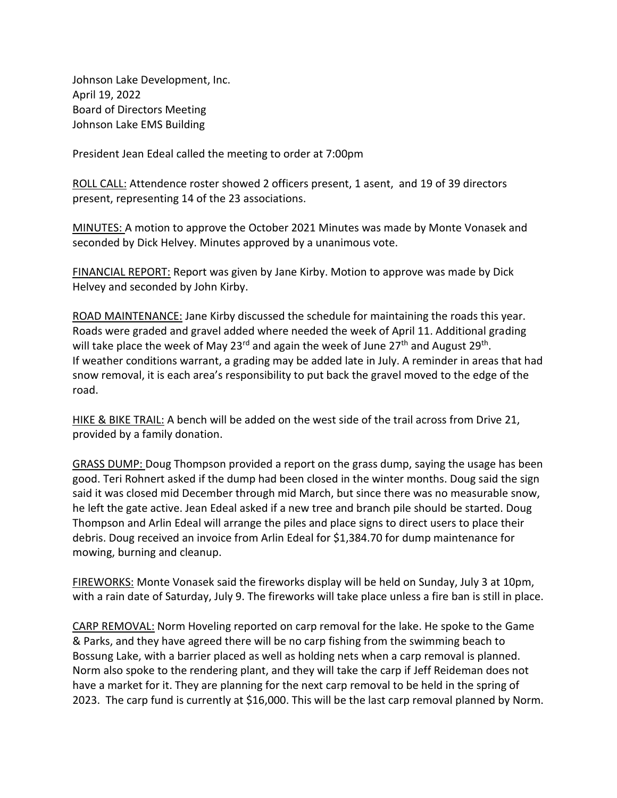Johnson Lake Development, Inc. April 19, 2022 Board of Directors Meeting Johnson Lake EMS Building

President Jean Edeal called the meeting to order at 7:00pm

ROLL CALL: Attendence roster showed 2 officers present, 1 asent, and 19 of 39 directors present, representing 14 of the 23 associations.

MINUTES: A motion to approve the October 2021 Minutes was made by Monte Vonasek and seconded by Dick Helvey. Minutes approved by a unanimous vote.

FINANCIAL REPORT: Report was given by Jane Kirby. Motion to approve was made by Dick Helvey and seconded by John Kirby.

ROAD MAINTENANCE: Jane Kirby discussed the schedule for maintaining the roads this year. Roads were graded and gravel added where needed the week of April 11. Additional grading will take place the week of May 23<sup>rd</sup> and again the week of June 27<sup>th</sup> and August 29<sup>th</sup>. If weather conditions warrant, a grading may be added late in July. A reminder in areas that had snow removal, it is each area's responsibility to put back the gravel moved to the edge of the road.

HIKE & BIKE TRAIL: A bench will be added on the west side of the trail across from Drive 21, provided by a family donation.

GRASS DUMP: Doug Thompson provided a report on the grass dump, saying the usage has been good. Teri Rohnert asked if the dump had been closed in the winter months. Doug said the sign said it was closed mid December through mid March, but since there was no measurable snow, he left the gate active. Jean Edeal asked if a new tree and branch pile should be started. Doug Thompson and Arlin Edeal will arrange the piles and place signs to direct users to place their debris. Doug received an invoice from Arlin Edeal for \$1,384.70 for dump maintenance for mowing, burning and cleanup.

FIREWORKS: Monte Vonasek said the fireworks display will be held on Sunday, July 3 at 10pm, with a rain date of Saturday, July 9. The fireworks will take place unless a fire ban is still in place.

CARP REMOVAL: Norm Hoveling reported on carp removal for the lake. He spoke to the Game & Parks, and they have agreed there will be no carp fishing from the swimming beach to Bossung Lake, with a barrier placed as well as holding nets when a carp removal is planned. Norm also spoke to the rendering plant, and they will take the carp if Jeff Reideman does not have a market for it. They are planning for the next carp removal to be held in the spring of 2023. The carp fund is currently at \$16,000. This will be the last carp removal planned by Norm.